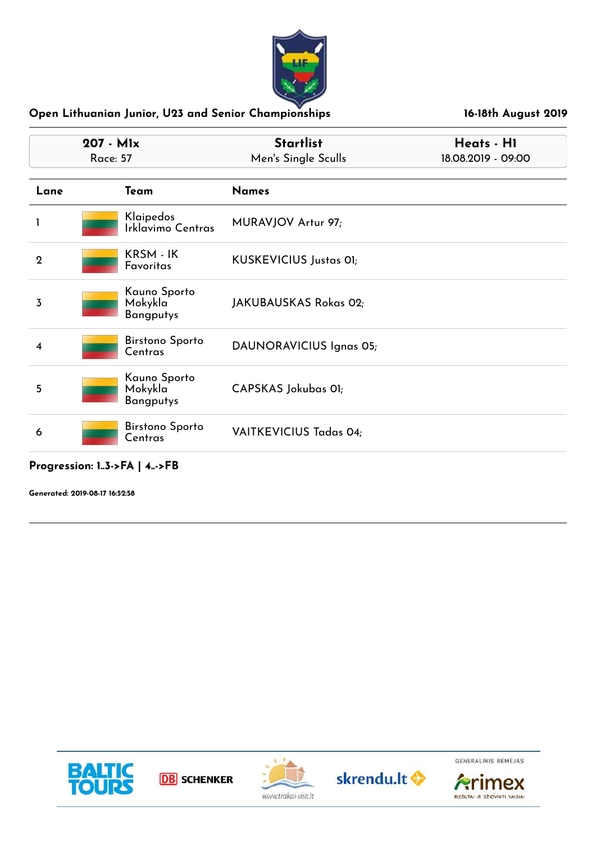

| 207 - Mlx<br><b>Race: 57</b> |                                             | <b>Startlist</b><br>Men's Single Sculls | Heats - H1<br>18.08.2019 - 09:00 |
|------------------------------|---------------------------------------------|-----------------------------------------|----------------------------------|
| Lane                         | Team                                        | <b>Names</b>                            |                                  |
|                              | Klaipedos<br>Irklavimo Centras              | MURAVJOV Artur 97;                      |                                  |
| $\mathbf 2$                  | KRSM - IK<br>Favoritas                      | <b>KUSKEVICIUS Justas 01;</b>           |                                  |
| 3                            | Kauno Sporto<br>Mokykla<br><b>Bangputys</b> | JAKUBAUSKAS Rokas 02;                   |                                  |
| 4                            | <b>Birstono Sporto</b><br>Centras           | DAUNORAVICIUS Ignas 05;                 |                                  |
| 5                            | Kauno Sporto<br>Mokykla<br><b>Bangputys</b> | CAPSKAS Jokubas 01;                     |                                  |
| 6                            | <b>Birstono Sporto</b><br>Centras           | <b>VAITKEVICIUS Tadas 04;</b>           |                                  |

## **Progression: 1..3->FA | 4..->FB**

**Generated: 2019-08-17 16:52:58**





**DB** SCHENKER





**Arimex**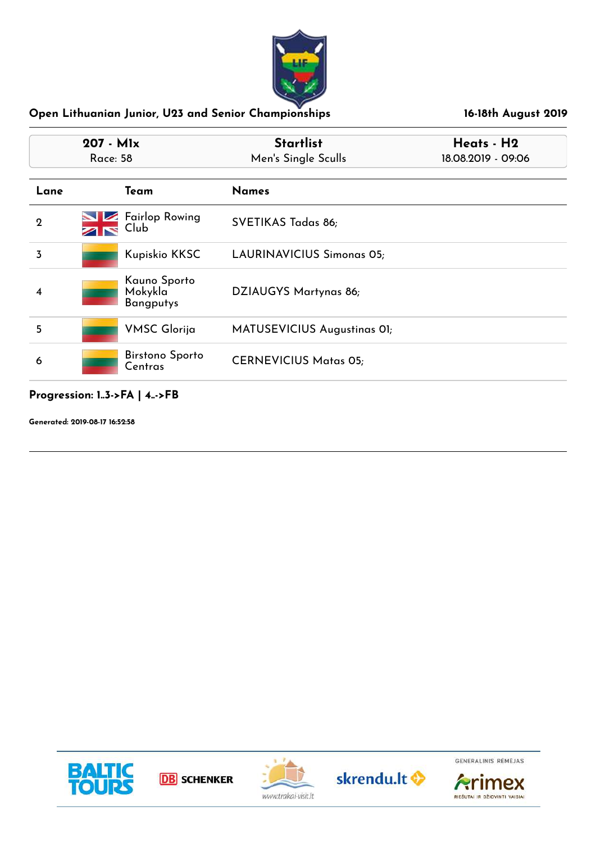

| $207 - Mlx$<br>Race: 58 |                                                | <b>Startlist</b><br>Men's Single Sculls | Heats - H2<br>18.08.2019 - 09:06 |
|-------------------------|------------------------------------------------|-----------------------------------------|----------------------------------|
| Lane                    | Team                                           | <b>Names</b>                            |                                  |
| $\mathbf 2$             | <b>Fairlop Rowing</b><br>$\sim$ $\sim$<br>Club | SVETIKAS Tadas 86;                      |                                  |
| 3                       | Kupiskio KKSC                                  | <b>LAURINAVICIUS Simonas 05;</b>        |                                  |
| 4                       | Kauno Sporto<br>Mokykla<br><b>Bangputys</b>    | DZIAUGYS Martynas 86;                   |                                  |
| 5                       | <b>VMSC Glorija</b>                            | MATUSEVICIUS Augustinas OI;             |                                  |
| 6                       | <b>Birstono Sporto</b><br>Centras              | <b>CERNEVICIUS Matas 05;</b>            |                                  |

# **Progression: 1..3->FA | 4..->FB**

**Generated: 2019-08-17 16:52:58**







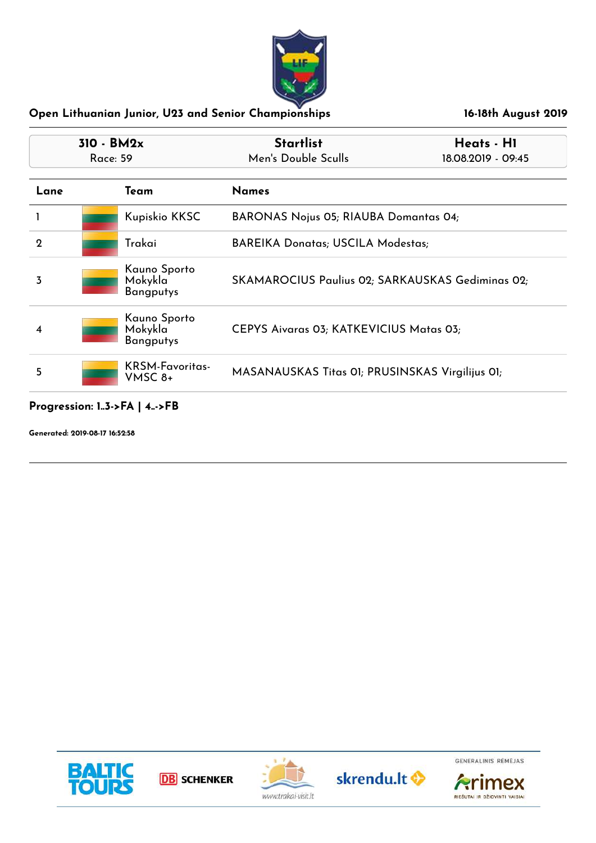

| $310 - BM2x$<br>Race: 59 |                                             | <b>Startlist</b><br>Men's Double Sculls | Heats - H1<br>18.08.2019 - 09:45                 |  |
|--------------------------|---------------------------------------------|-----------------------------------------|--------------------------------------------------|--|
|                          |                                             |                                         |                                                  |  |
| Lane                     | Team                                        | <b>Names</b>                            |                                                  |  |
|                          | Kupiskio KKSC                               |                                         | <b>BARONAS Nojus 05; RIAUBA Domantas 04;</b>     |  |
| $\mathbf 2$              | Trakai                                      |                                         | <b>BAREIKA Donatas; USCILA Modestas;</b>         |  |
| 3                        | Kauno Sporto<br>Mokykla<br><b>Bangputys</b> |                                         | SKAMAROCIUS Paulius 02; SARKAUSKAS Gediminas 02; |  |
| 4                        | Kauno Sporto<br>Mokykla<br><b>Bangputys</b> | CEPYS Aivaras 03; KATKEVICIUS Matas 03; |                                                  |  |
| 5                        | <b>KRSM-Favoritas-</b><br>VMSC 8+           |                                         | MASANAUSKAS Titas 01; PRUSINSKAS Virgilijus 01;  |  |

## **Progression: 1..3->FA | 4..->FB**

**Generated: 2019-08-17 16:52:58**









**Arimex**